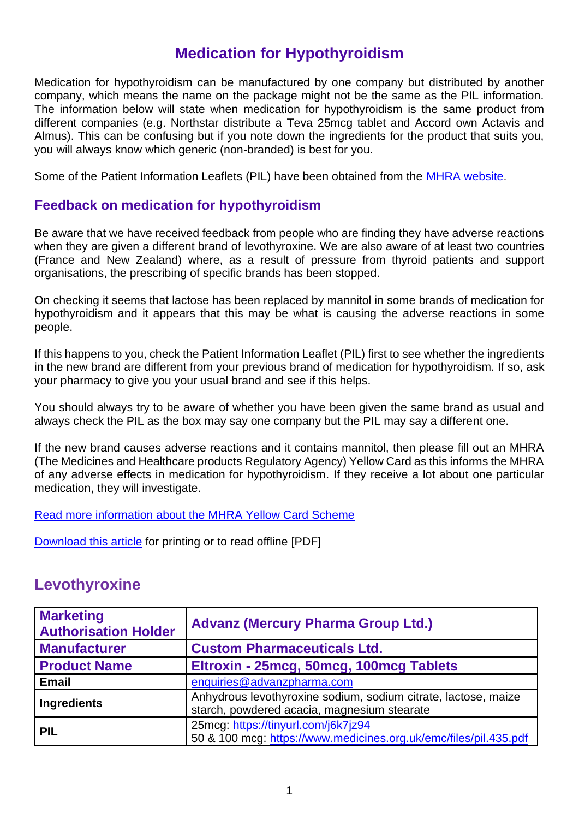#### **Medication for Hypothyroidism**

Medication for hypothyroidism can be manufactured by one company but distributed by another company, which means the name on the package might not be the same as the PIL information. The information below will state when medication for hypothyroidism is the same product from different companies (e.g. Northstar distribute a Teva 25mcg tablet and Accord own Actavis and Almus). This can be confusing but if you note down the ingredients for the product that suits you, you will always know which generic (non-branded) is best for you.

Some of the Patient Information Leaflets (PIL) have been obtained from the [MHRA website.](https://tinyurl.com/vwh739r)

#### **Feedback on medication for hypothyroidism**

Be aware that we have received feedback from people who are finding they have adverse reactions when they are given a different brand of levothyroxine. We are also aware of at least two countries (France and New Zealand) where, as a result of pressure from thyroid patients and support organisations, the prescribing of specific brands has been stopped.

On checking it seems that lactose has been replaced by mannitol in some brands of medication for hypothyroidism and it appears that this may be what is causing the adverse reactions in some people.

If this happens to you, check the Patient Information Leaflet (PIL) first to see whether the ingredients in the new brand are different from your previous brand of medication for hypothyroidism. If so, ask your pharmacy to give you your usual brand and see if this helps.

You should always try to be aware of whether you have been given the same brand as usual and always check the PIL as the box may say one company but the PIL may say a different one.

If the new brand causes adverse reactions and it contains mannitol, then please fill out an MHRA (The Medicines and Healthcare products Regulatory Agency) Yellow Card as this informs the MHRA of any adverse effects in medication for hypothyroidism. If they receive a lot about one particular medication, they will investigate.

[Read more information about the MHRA Yellow Card Scheme](http://thyroiduk.org/yellow-card-scheme/)

[Download this article](https://thyroiduk.org/medications-for-hypothyroidism-v2-6/) for printing or to read offline [PDF]

#### **Levothyroxine**

| <b>Marketing</b><br><b>Authorisation Holder</b> | <b>Advanz (Mercury Pharma Group Ltd.)</b>                                                                     |
|-------------------------------------------------|---------------------------------------------------------------------------------------------------------------|
| <b>Manufacturer</b>                             | <b>Custom Pharmaceuticals Ltd.</b>                                                                            |
| <b>Product Name</b>                             | Eltroxin - 25 mcg, 50 mcg, 100 mcg Tablets                                                                    |
| <b>Email</b>                                    | enquiries@advanzpharma.com                                                                                    |
| Ingredients                                     | Anhydrous levothyroxine sodium, sodium citrate, lactose, maize<br>starch, powdered acacia, magnesium stearate |
| <b>PIL</b>                                      | 25mcg: https://tinyurl.com/j6k7jz94<br>50 & 100 mcg: https://www.medicines.org.uk/emc/files/pil.435.pdf       |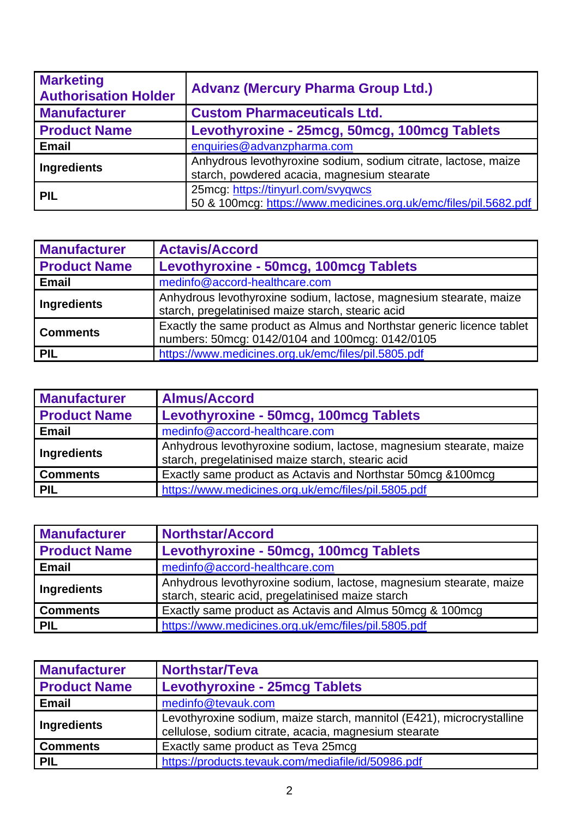| <b>Marketing</b><br><b>Authorisation Holder</b> | <b>Advanz (Mercury Pharma Group Ltd.)</b>                                                                     |
|-------------------------------------------------|---------------------------------------------------------------------------------------------------------------|
| <b>Manufacturer</b>                             | <b>Custom Pharmaceuticals Ltd.</b>                                                                            |
| <b>Product Name</b>                             | Levothyroxine - 25mcg, 50mcg, 100mcg Tablets                                                                  |
| <b>Email</b>                                    | enquiries@advanzpharma.com                                                                                    |
| <b>Ingredients</b>                              | Anhydrous levothyroxine sodium, sodium citrate, lactose, maize<br>starch, powdered acacia, magnesium stearate |
| <b>PIL</b>                                      | 25mcg: https://tinyurl.com/svyqwcs<br>50 & 100mcg: https://www.medicines.org.uk/emc/files/pil.5682.pdf        |

| <b>Manufacturer</b> | <b>Actavis/Accord</b>                                                                                                     |
|---------------------|---------------------------------------------------------------------------------------------------------------------------|
| <b>Product Name</b> | Levothyroxine - 50mcg, 100mcg Tablets                                                                                     |
| <b>Email</b>        | medinfo@accord-healthcare.com                                                                                             |
| <b>Ingredients</b>  | Anhydrous levothyroxine sodium, lactose, magnesium stearate, maize<br>starch, pregelatinised maize starch, stearic acid   |
| <b>Comments</b>     | Exactly the same product as Almus and Northstar generic licence tablet<br>numbers: 50mcg: 0142/0104 and 100mcg: 0142/0105 |
| PIL                 | https://www.medicines.org.uk/emc/files/pil.5805.pdf                                                                       |

| <b>Manufacturer</b> | <b>Almus/Accord</b>                                                                                                     |
|---------------------|-------------------------------------------------------------------------------------------------------------------------|
| <b>Product Name</b> | Levothyroxine - 50mcg, 100mcg Tablets                                                                                   |
| <b>Email</b>        | medinfo@accord-healthcare.com                                                                                           |
| Ingredients         | Anhydrous levothyroxine sodium, lactose, magnesium stearate, maize<br>starch, pregelatinised maize starch, stearic acid |
| <b>Comments</b>     | Exactly same product as Actavis and Northstar 50mcg & 100mcg                                                            |
| PIL                 | https://www.medicines.org.uk/emc/files/pil.5805.pdf                                                                     |

| <b>Manufacturer</b> | <b>Northstar/Accord</b>                                                                                                 |
|---------------------|-------------------------------------------------------------------------------------------------------------------------|
| <b>Product Name</b> | Levothyroxine - 50mcg, 100mcg Tablets                                                                                   |
| <b>Email</b>        | medinfo@accord-healthcare.com                                                                                           |
| Ingredients         | Anhydrous levothyroxine sodium, lactose, magnesium stearate, maize<br>starch, stearic acid, pregelatinised maize starch |
| <b>Comments</b>     | Exactly same product as Actavis and Almus 50mcg & 100mcg                                                                |
| <b>PIL</b>          | https://www.medicines.org.uk/emc/files/pil.5805.pdf                                                                     |

| <b>Manufacturer</b> | <b>Northstar/Teva</b>                                                                                                          |
|---------------------|--------------------------------------------------------------------------------------------------------------------------------|
| <b>Product Name</b> | <b>Levothyroxine - 25mcg Tablets</b>                                                                                           |
| <b>Email</b>        | medinfo@tevauk.com                                                                                                             |
| Ingredients         | Levothyroxine sodium, maize starch, mannitol (E421), microcrystalline<br>cellulose, sodium citrate, acacia, magnesium stearate |
| <b>Comments</b>     | Exactly same product as Teva 25mcg                                                                                             |
| <b>PIL</b>          | https://products.tevauk.com/mediafile/id/50986.pdf                                                                             |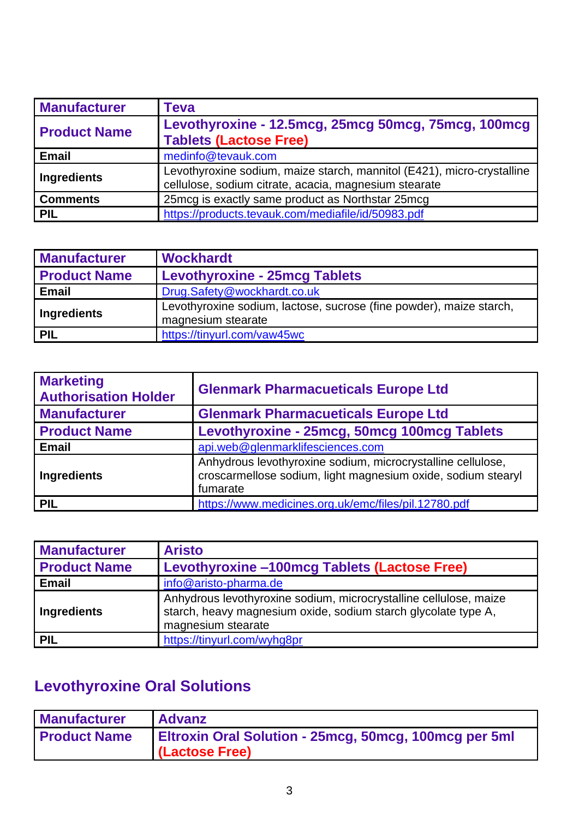| <b>Manufacturer</b> | Teva                                                                                                                            |
|---------------------|---------------------------------------------------------------------------------------------------------------------------------|
| <b>Product Name</b> | Levothyroxine - 12.5mcg, 25mcg 50mcg, 75mcg, 100mcg<br><b>Tablets (Lactose Free)</b>                                            |
| <b>Email</b>        | medinfo@tevauk.com                                                                                                              |
| <b>Ingredients</b>  | Levothyroxine sodium, maize starch, mannitol (E421), micro-crystalline<br>cellulose, sodium citrate, acacia, magnesium stearate |
| <b>Comments</b>     | 25 mcg is exactly same product as Northstar 25 mcg                                                                              |
| <b>PIL</b>          | https://products.tevauk.com/mediafile/id/50983.pdf                                                                              |

| <b>Manufacturer</b> | <b>Wockhardt</b>                                                                          |
|---------------------|-------------------------------------------------------------------------------------------|
| <b>Product Name</b> | <b>Levothyroxine - 25mcg Tablets</b>                                                      |
| <b>Email</b>        | Drug.Safety@wockhardt.co.uk                                                               |
| <b>Ingredients</b>  | Levothyroxine sodium, lactose, sucrose (fine powder), maize starch,<br>magnesium stearate |
| PIL                 | https://tinyurl.com/vaw45wc                                                               |

| <b>Marketing</b><br><b>Authorisation Holder</b> | <b>Glenmark Pharmacueticals Europe Ltd</b>                                                                                              |
|-------------------------------------------------|-----------------------------------------------------------------------------------------------------------------------------------------|
| <b>Manufacturer</b>                             | <b>Glenmark Pharmacueticals Europe Ltd</b>                                                                                              |
| <b>Product Name</b>                             | Levothyroxine - 25mcg, 50mcg 100mcg Tablets                                                                                             |
| <b>Email</b>                                    | api.web@glenmarklifesciences.com                                                                                                        |
| Ingredients                                     | Anhydrous levothyroxine sodium, microcrystalline cellulose,<br>croscarmellose sodium, light magnesium oxide, sodium stearyl<br>fumarate |
| <b>PIL</b>                                      | https://www.medicines.org.uk/emc/files/pil.12780.pdf                                                                                    |

| <b>Manufacturer</b> | <b>Aristo</b>                                                                                                                                             |
|---------------------|-----------------------------------------------------------------------------------------------------------------------------------------------------------|
| <b>Product Name</b> | Levothyroxine -100mcg Tablets (Lactose Free)                                                                                                              |
| <b>Email</b>        | info@aristo-pharma.de                                                                                                                                     |
| Ingredients         | Anhydrous levothyroxine sodium, microcrystalline cellulose, maize<br>starch, heavy magnesium oxide, sodium starch glycolate type A,<br>magnesium stearate |
| <b>PIL</b>          | https://tinyurl.com/wyhg8pr                                                                                                                               |

# **Levothyroxine Oral Solutions**

| <b>Manufacturer</b> | <b>Advanz</b>                                                                  |
|---------------------|--------------------------------------------------------------------------------|
| <b>Product Name</b> | <b>Eltroxin Oral Solution - 25mcg, 50mcg, 100mcg per 5ml</b><br>(Lactose Free) |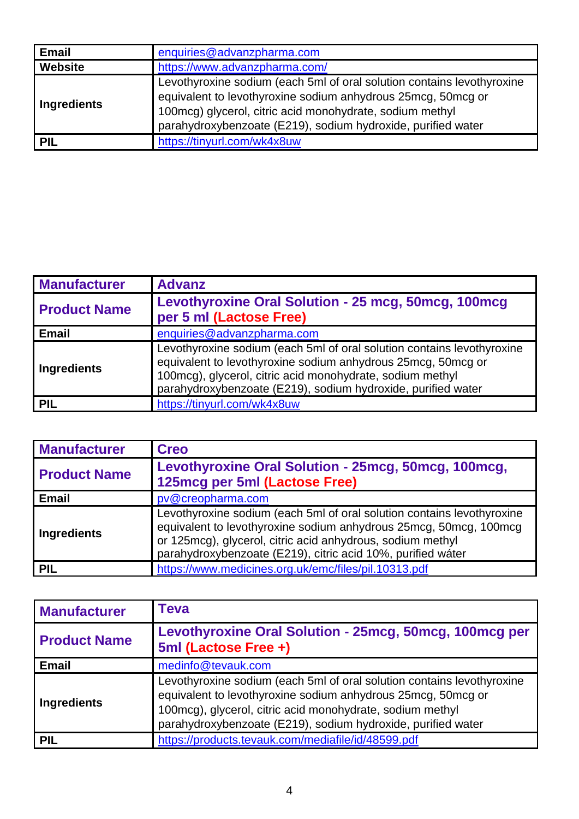| <b>Email</b>   | enquiries@advanzpharma.com                                                                                                                                                                                                                                         |
|----------------|--------------------------------------------------------------------------------------------------------------------------------------------------------------------------------------------------------------------------------------------------------------------|
| <b>Website</b> | https://www.advanzpharma.com/                                                                                                                                                                                                                                      |
| Ingredients    | Levothyroxine sodium (each 5ml of oral solution contains levothyroxine<br>equivalent to levothyroxine sodium anhydrous 25mcg, 50mcg or<br>100mcg) glycerol, citric acid monohydrate, sodium methyl<br>parahydroxybenzoate (E219), sodium hydroxide, purified water |
| PIL            | https://tinyurl.com/wk4x8uw                                                                                                                                                                                                                                        |

| <b>Manufacturer</b> | <b>Advanz</b>                                                                                                                                                                                                                                                       |
|---------------------|---------------------------------------------------------------------------------------------------------------------------------------------------------------------------------------------------------------------------------------------------------------------|
| <b>Product Name</b> | Levothyroxine Oral Solution - 25 mcg, 50mcg, 100mcg<br>per 5 ml (Lactose Free)                                                                                                                                                                                      |
| <b>Email</b>        | enquiries@advanzpharma.com                                                                                                                                                                                                                                          |
| <b>Ingredients</b>  | Levothyroxine sodium (each 5ml of oral solution contains levothyroxine<br>equivalent to levothyroxine sodium anhydrous 25mcg, 50mcg or<br>100mcg), glycerol, citric acid monohydrate, sodium methyl<br>parahydroxybenzoate (E219), sodium hydroxide, purified water |
| <b>PIL</b>          | https://tinyurl.com/wk4x8uw                                                                                                                                                                                                                                         |

| <b>Manufacturer</b> | <b>Creo</b>                                                                                                                                                                                                                                                              |
|---------------------|--------------------------------------------------------------------------------------------------------------------------------------------------------------------------------------------------------------------------------------------------------------------------|
| <b>Product Name</b> | Levothyroxine Oral Solution - 25mcg, 50mcg, 100mcg,<br>125mcg per 5ml (Lactose Free)                                                                                                                                                                                     |
| <b>Email</b>        | pv@creopharma.com                                                                                                                                                                                                                                                        |
| Ingredients         | Levothyroxine sodium (each 5ml of oral solution contains levothyroxine<br>equivalent to levothyroxine sodium anhydrous 25mcg, 50mcg, 100mcg<br>or 125mcg), glycerol, citric acid anhydrous, sodium methyl<br>parahydroxybenzoate (E219), citric acid 10%, purified wáter |
| <b>PIL</b>          | https://www.medicines.org.uk/emc/files/pil.10313.pdf                                                                                                                                                                                                                     |

| <b>Manufacturer</b> | Teva                                                                                                                                                                                                                                                                |
|---------------------|---------------------------------------------------------------------------------------------------------------------------------------------------------------------------------------------------------------------------------------------------------------------|
| <b>Product Name</b> | Levothyroxine Oral Solution - 25mcg, 50mcg, 100mcg per<br>5ml (Lactose Free +)                                                                                                                                                                                      |
| <b>Email</b>        | medinfo@tevauk.com                                                                                                                                                                                                                                                  |
| <b>Ingredients</b>  | Levothyroxine sodium (each 5ml of oral solution contains levothyroxine<br>equivalent to levothyroxine sodium anhydrous 25mcg, 50mcg or<br>100mcg), glycerol, citric acid monohydrate, sodium methyl<br>parahydroxybenzoate (E219), sodium hydroxide, purified water |
| <b>PIL</b>          | https://products.tevauk.com/mediafile/id/48599.pdf                                                                                                                                                                                                                  |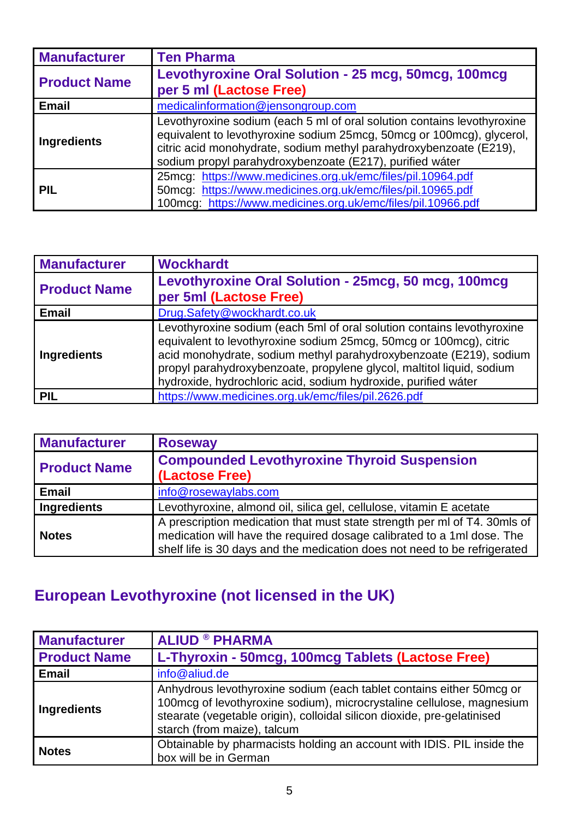| <b>Manufacturer</b> | <b>Ten Pharma</b>                                                                                                                                                                                                                                                                  |
|---------------------|------------------------------------------------------------------------------------------------------------------------------------------------------------------------------------------------------------------------------------------------------------------------------------|
| <b>Product Name</b> | Levothyroxine Oral Solution - 25 mcg, 50mcg, 100mcg<br>per 5 ml (Lactose Free)                                                                                                                                                                                                     |
| <b>Email</b>        | medicalinformation@jensongroup.com                                                                                                                                                                                                                                                 |
| Ingredients         | Levothyroxine sodium (each 5 ml of oral solution contains levothyroxine<br>equivalent to levothyroxine sodium 25mcg, 50mcg or 100mcg), glycerol,<br>citric acid monohydrate, sodium methyl parahydroxybenzoate (E219),<br>sodium propyl parahydroxybenzoate (E217), purified wáter |
| PIL                 | 25mcg: https://www.medicines.org.uk/emc/files/pil.10964.pdf<br>50mcg: https://www.medicines.org.uk/emc/files/pil.10965.pdf<br>100mcg: https://www.medicines.org.uk/emc/files/pil.10966.pdf                                                                                         |

| <b>Manufacturer</b> | <b>Wockhardt</b>                                                                                                                                                                                                                                                                                                                                              |
|---------------------|---------------------------------------------------------------------------------------------------------------------------------------------------------------------------------------------------------------------------------------------------------------------------------------------------------------------------------------------------------------|
| <b>Product Name</b> | Levothyroxine Oral Solution - 25mcg, 50 mcg, 100mcg<br>per 5ml (Lactose Free)                                                                                                                                                                                                                                                                                 |
| <b>Email</b>        | Drug.Safety@wockhardt.co.uk                                                                                                                                                                                                                                                                                                                                   |
| Ingredients         | Levothyroxine sodium (each 5ml of oral solution contains levothyroxine<br>equivalent to levothyroxine sodium 25mcg, 50mcg or 100mcg), citric<br>acid monohydrate, sodium methyl parahydroxybenzoate (E219), sodium<br>propyl parahydroxybenzoate, propylene glycol, maltitol liquid, sodium<br>hydroxide, hydrochloric acid, sodium hydroxide, purified wáter |
| <b>PIL</b>          | https://www.medicines.org.uk/emc/files/pil.2626.pdf                                                                                                                                                                                                                                                                                                           |

| <b>Manufacturer</b> | <b>Roseway</b>                                                                                                                                                                                                                   |
|---------------------|----------------------------------------------------------------------------------------------------------------------------------------------------------------------------------------------------------------------------------|
| <b>Product Name</b> | <b>Compounded Levothyroxine Thyroid Suspension</b><br>(Lactose Free)                                                                                                                                                             |
| <b>Email</b>        | info@rosewaylabs.com                                                                                                                                                                                                             |
| Ingredients         | Levothyroxine, almond oil, silica gel, cellulose, vitamin E acetate                                                                                                                                                              |
| <b>Notes</b>        | A prescription medication that must state strength per ml of T4. 30mls of<br>medication will have the required dosage calibrated to a 1ml dose. The<br>shelf life is 30 days and the medication does not need to be refrigerated |

# **European Levothyroxine (not licensed in the UK)**

| <b>Manufacturer</b> | <b>ALIUD ® PHARMA</b>                                                                                                                                                                                                                                   |
|---------------------|---------------------------------------------------------------------------------------------------------------------------------------------------------------------------------------------------------------------------------------------------------|
| <b>Product Name</b> | L-Thyroxin - 50mcg, 100mcg Tablets (Lactose Free)                                                                                                                                                                                                       |
| <b>Email</b>        | info@aliud.de                                                                                                                                                                                                                                           |
| <b>Ingredients</b>  | Anhydrous levothyroxine sodium (each tablet contains either 50mcg or<br>100mcg of levothyroxine sodium), microcrystaline cellulose, magnesium<br>stearate (vegetable origin), colloidal silicon dioxide, pre-gelatinised<br>starch (from maize), talcum |
| <b>Notes</b>        | Obtainable by pharmacists holding an account with IDIS. PIL inside the<br>box will be in German                                                                                                                                                         |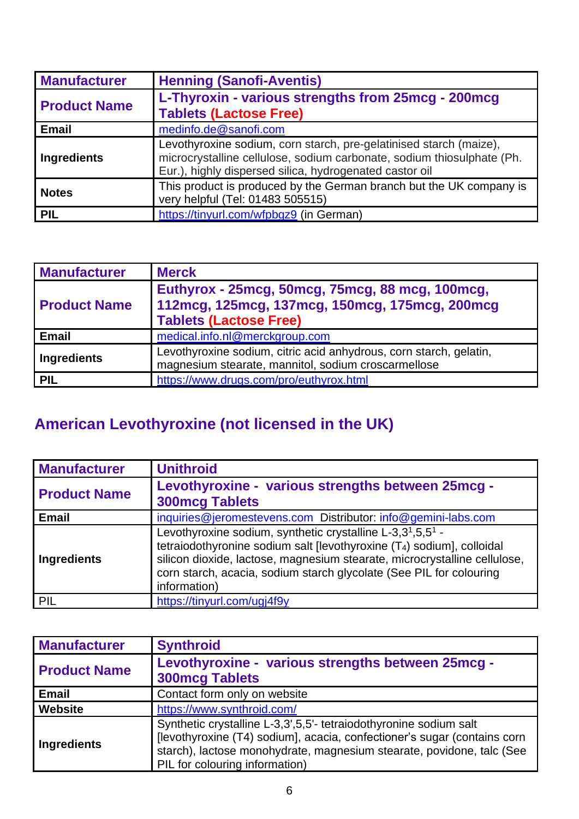| <b>Manufacturer</b> | <b>Henning (Sanofi-Aventis)</b>                                                                                                                                                                         |
|---------------------|---------------------------------------------------------------------------------------------------------------------------------------------------------------------------------------------------------|
| <b>Product Name</b> | L-Thyroxin - various strengths from 25mcg - 200mcg<br><b>Tablets (Lactose Free)</b>                                                                                                                     |
| <b>Email</b>        | medinfo.de@sanofi.com                                                                                                                                                                                   |
| <b>Ingredients</b>  | Levothyroxine sodium, corn starch, pre-gelatinised starch (maize),<br>microcrystalline cellulose, sodium carbonate, sodium thiosulphate (Ph.<br>Eur.), highly dispersed silica, hydrogenated castor oil |
| <b>Notes</b>        | This product is produced by the German branch but the UK company is<br>very helpful (Tel: 01483 505515)                                                                                                 |
| <b>PIL</b>          | https://tinyurl.com/wfpbgz9 (in German)                                                                                                                                                                 |

| <b>Manufacturer</b> | <b>Merck</b>                                                                                                                           |
|---------------------|----------------------------------------------------------------------------------------------------------------------------------------|
| <b>Product Name</b> | Euthyrox - 25 mcg, 50 mcg, 75 mcg, 88 mcg, 100 mcg,<br>112mcg, 125mcg, 137mcg, 150mcg, 175mcg, 200mcg<br><b>Tablets (Lactose Free)</b> |
| <b>Email</b>        | medical.info.nl@merckgroup.com                                                                                                         |
| Ingredients         | Levothyroxine sodium, citric acid anhydrous, corn starch, gelatin,<br>magnesium stearate, mannitol, sodium croscarmellose              |
| <b>PIL</b>          | https://www.drugs.com/pro/euthyrox.html                                                                                                |

### **American Levothyroxine (not licensed in the UK)**

| <b>Manufacturer</b> | <b>Unithroid</b>                                                                                                                                                                                                                                                                                                    |
|---------------------|---------------------------------------------------------------------------------------------------------------------------------------------------------------------------------------------------------------------------------------------------------------------------------------------------------------------|
| <b>Product Name</b> | Levothyroxine - various strengths between 25mcg -<br><b>300mcg Tablets</b>                                                                                                                                                                                                                                          |
| <b>Email</b>        | inquiries@jeromestevens.com Distributor: info@gemini-labs.com                                                                                                                                                                                                                                                       |
| <b>Ingredients</b>  | Levothyroxine sodium, synthetic crystalline L-3,31,5,51 -<br>tetraiodothyronine sodium salt [levothyroxine (T <sub>4</sub> ) sodium], colloidal<br>silicon dioxide, lactose, magnesium stearate, microcrystalline cellulose,<br>corn starch, acacia, sodium starch glycolate (See PIL for colouring<br>information) |
| PIL                 | https://tinyurl.com/ugj4f9y                                                                                                                                                                                                                                                                                         |

| <b>Manufacturer</b> | <b>Synthroid</b>                                                                                                                                                                                                                                         |
|---------------------|----------------------------------------------------------------------------------------------------------------------------------------------------------------------------------------------------------------------------------------------------------|
| <b>Product Name</b> | Levothyroxine - various strengths between 25mcg -<br><b>300mcg Tablets</b>                                                                                                                                                                               |
| <b>Email</b>        | Contact form only on website                                                                                                                                                                                                                             |
| Website             | https://www.synthroid.com/                                                                                                                                                                                                                               |
| <b>Ingredients</b>  | Synthetic crystalline L-3,3',5,5'- tetraiodothyronine sodium salt<br>[levothyroxine (T4) sodium], acacia, confectioner's sugar (contains corn<br>starch), lactose monohydrate, magnesium stearate, povidone, talc (See<br>PIL for colouring information) |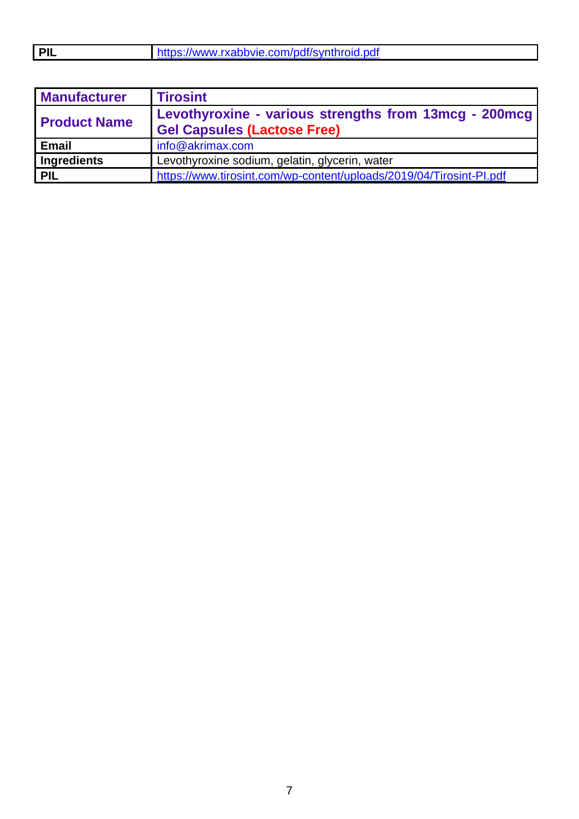| <b>PIL</b> | https://www.rxabbvie.com/pdf/synthroid.pdf |
|------------|--------------------------------------------|
|            |                                            |

| <b>Manufacturer</b> | <b>Tirosint</b>                                                                             |
|---------------------|---------------------------------------------------------------------------------------------|
| <b>Product Name</b> | Levothyroxine - various strengths from 13mcg - 200mcg<br><b>Gel Capsules (Lactose Free)</b> |
| <b>Email</b>        | info@akrimax.com                                                                            |
| <b>Ingredients</b>  | Levothyroxine sodium, gelatin, glycerin, water                                              |
| PIL                 | https://www.tirosint.com/wp-content/uploads/2019/04/Tirosint-Pl.pdf                         |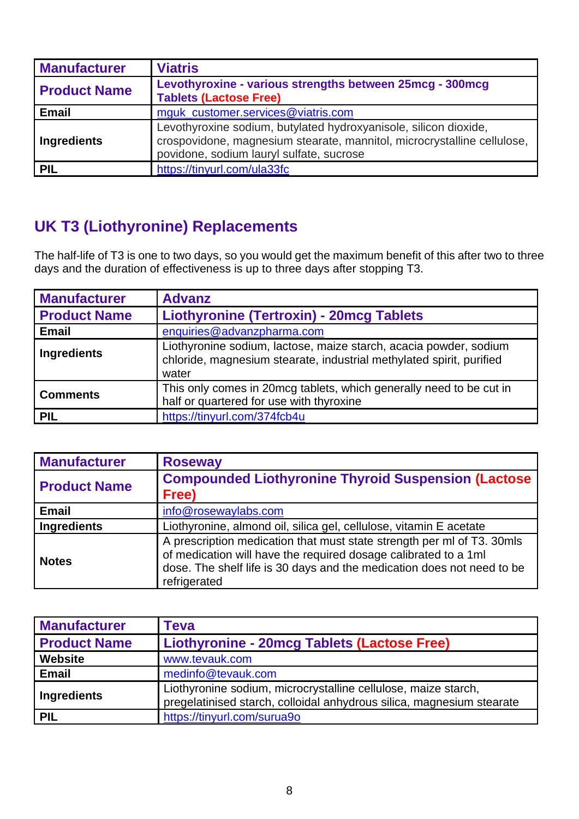| <b>Manufacturer</b> | <b>Viatris</b>                                                                                                                                                                          |
|---------------------|-----------------------------------------------------------------------------------------------------------------------------------------------------------------------------------------|
| <b>Product Name</b> | Levothyroxine - various strengths between 25mcg - 300mcg<br><b>Tablets (Lactose Free)</b>                                                                                               |
| <b>Email</b>        | mguk_customer.services@viatris.com                                                                                                                                                      |
| Ingredients         | Levothyroxine sodium, butylated hydroxyanisole, silicon dioxide,<br>crospovidone, magnesium stearate, mannitol, microcrystalline cellulose,<br>povidone, sodium lauryl sulfate, sucrose |
| <b>PIL</b>          | https://tinyurl.com/ula33fc                                                                                                                                                             |

### **UK T3 (Liothyronine) Replacements**

The half-life of T3 is one to two days, so you would get the maximum benefit of this after two to three days and the duration of effectiveness is up to three days after stopping T3.

| <b>Manufacturer</b> | <b>Advanz</b>                                                                                                                                      |
|---------------------|----------------------------------------------------------------------------------------------------------------------------------------------------|
| <b>Product Name</b> | <b>Liothyronine (Tertroxin) - 20mcg Tablets</b>                                                                                                    |
| <b>Email</b>        | enquiries@advanzpharma.com                                                                                                                         |
| Ingredients         | Liothyronine sodium, lactose, maize starch, acacia powder, sodium<br>chloride, magnesium stearate, industrial methylated spirit, purified<br>water |
| <b>Comments</b>     | This only comes in 20mcg tablets, which generally need to be cut in<br>half or quartered for use with thyroxine                                    |
| <b>PIL</b>          | https://tinyurl.com/374fcb4u                                                                                                                       |

| <b>Manufacturer</b> | <b>Roseway</b>                                                                                                                                                                                                                      |
|---------------------|-------------------------------------------------------------------------------------------------------------------------------------------------------------------------------------------------------------------------------------|
| <b>Product Name</b> | <b>Compounded Liothyronine Thyroid Suspension (Lactose</b><br>Free)                                                                                                                                                                 |
| <b>Email</b>        | info@rosewaylabs.com                                                                                                                                                                                                                |
| <b>Ingredients</b>  | Liothyronine, almond oil, silica gel, cellulose, vitamin E acetate                                                                                                                                                                  |
| <b>Notes</b>        | A prescription medication that must state strength per ml of T3. 30mls<br>of medication will have the required dosage calibrated to a 1ml<br>dose. The shelf life is 30 days and the medication does not need to be<br>refrigerated |

| <b>Manufacturer</b> | <b>Teva</b>                                                                                                                             |
|---------------------|-----------------------------------------------------------------------------------------------------------------------------------------|
| <b>Product Name</b> | Liothyronine - 20mcg Tablets (Lactose Free)                                                                                             |
| <b>Website</b>      | www.tevauk.com                                                                                                                          |
| <b>Email</b>        | medinfo@tevauk.com                                                                                                                      |
| <b>Ingredients</b>  | Liothyronine sodium, microcrystalline cellulose, maize starch,<br>pregelatinised starch, colloidal anhydrous silica, magnesium stearate |
| <b>PIL</b>          | https://tinyurl.com/surua9o                                                                                                             |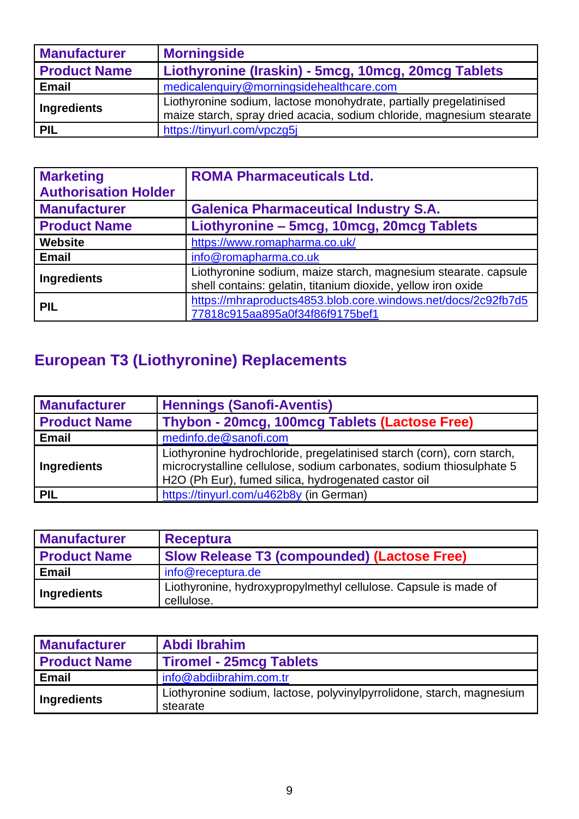| <b>Manufacturer</b> | <b>Morningside</b>                                                                                                                          |
|---------------------|---------------------------------------------------------------------------------------------------------------------------------------------|
| <b>Product Name</b> | Liothyronine (Iraskin) - 5mcg, 10mcg, 20mcg Tablets                                                                                         |
| <b>Email</b>        | medicalenquiry@morningsidehealthcare.com                                                                                                    |
| Ingredients         | Liothyronine sodium, lactose monohydrate, partially pregelatinised<br>maize starch, spray dried acacia, sodium chloride, magnesium stearate |
| PIL                 | https://tinyurl.com/vpczg5j                                                                                                                 |

| <b>Marketing</b><br><b>Authorisation Holder</b> | <b>ROMA Pharmaceuticals Ltd.</b>                                                                                               |
|-------------------------------------------------|--------------------------------------------------------------------------------------------------------------------------------|
| <b>Manufacturer</b>                             | <b>Galenica Pharmaceutical Industry S.A.</b>                                                                                   |
| <b>Product Name</b>                             | Liothyronine - 5mcg, 10mcg, 20mcg Tablets                                                                                      |
| <b>Website</b>                                  | https://www.romapharma.co.uk/                                                                                                  |
| <b>Email</b>                                    | info@romapharma.co.uk                                                                                                          |
| Ingredients                                     | Liothyronine sodium, maize starch, magnesium stearate. capsule<br>shell contains: gelatin, titanium dioxide, yellow iron oxide |
| <b>PIL</b>                                      | https://mhraproducts4853.blob.core.windows.net/docs/2c92fb7d5<br>77818c915aa895a0f34f86f9175bef1                               |

# **European T3 (Liothyronine) Replacements**

| <b>Manufacturer</b> | <b>Hennings (Sanofi-Aventis)</b>                                                                                                                                                                      |
|---------------------|-------------------------------------------------------------------------------------------------------------------------------------------------------------------------------------------------------|
| <b>Product Name</b> | Thybon - 20mcg, 100mcg Tablets (Lactose Free)                                                                                                                                                         |
| <b>Email</b>        | medinfo.de@sanofi.com                                                                                                                                                                                 |
| Ingredients         | Liothyronine hydrochloride, pregelatinised starch (corn), corn starch,<br>microcrystalline cellulose, sodium carbonates, sodium thiosulphate 5<br>H2O (Ph Eur), fumed silica, hydrogenated castor oil |
| <b>PIL</b>          | https://tinyurl.com/u462b8y (in German)                                                                                                                                                               |

| <b>Manufacturer</b> | <b>Receptura</b>                                                              |
|---------------------|-------------------------------------------------------------------------------|
| <b>Product Name</b> | <b>Slow Release T3 (compounded) (Lactose Free)</b>                            |
| Email               | info@receptura.de                                                             |
| Ingredients         | Liothyronine, hydroxypropylmethyl cellulose. Capsule is made of<br>cellulose. |

| <b>Manufacturer</b> | <b>Abdi Ibrahim</b>                                                               |
|---------------------|-----------------------------------------------------------------------------------|
| <b>Product Name</b> | Tiromel - 25 mcg Tablets                                                          |
| <b>Email</b>        | info@abdiibrahim.com.tr                                                           |
| <b>Ingredients</b>  | Liothyronine sodium, lactose, polyvinylpyrrolidone, starch, magnesium<br>stearate |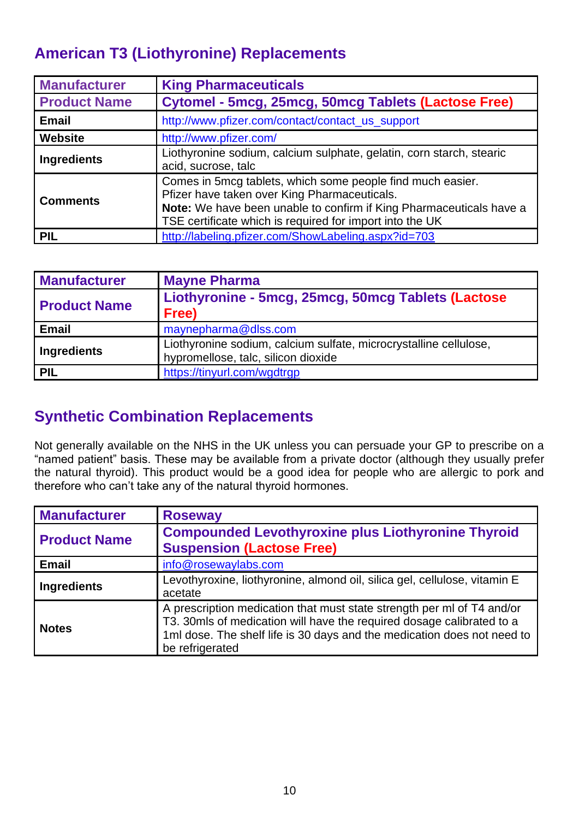#### **American T3 (Liothyronine) Replacements**

| <b>Manufacturer</b> | <b>King Pharmaceuticals</b>                                                                                                                                                                                                                   |
|---------------------|-----------------------------------------------------------------------------------------------------------------------------------------------------------------------------------------------------------------------------------------------|
| <b>Product Name</b> | Cytomel - 5mcg, 25mcg, 50mcg Tablets (Lactose Free)                                                                                                                                                                                           |
| <b>Email</b>        | http://www.pfizer.com/contact/contact_us_support                                                                                                                                                                                              |
| <b>Website</b>      | http://www.pfizer.com/                                                                                                                                                                                                                        |
| <b>Ingredients</b>  | Liothyronine sodium, calcium sulphate, gelatin, corn starch, stearic<br>acid, sucrose, talc                                                                                                                                                   |
| <b>Comments</b>     | Comes in 5mcg tablets, which some people find much easier.<br>Pfizer have taken over King Pharmaceuticals.<br>Note: We have been unable to confirm if King Pharmaceuticals have a<br>TSE certificate which is required for import into the UK |
| <b>PIL</b>          | http://labeling.pfizer.com/ShowLabeling.aspx?id=703                                                                                                                                                                                           |

| <b>Manufacturer</b> | <b>Mayne Pharma</b>                                                                                      |
|---------------------|----------------------------------------------------------------------------------------------------------|
| <b>Product Name</b> | Liothyronine - 5mcg, 25mcg, 50mcg Tablets (Lactose<br>Free)                                              |
| <b>Email</b>        | maynepharma@dlss.com                                                                                     |
| Ingredients         | Liothyronine sodium, calcium sulfate, microcrystalline cellulose,<br>hypromellose, talc, silicon dioxide |
| PIL                 | https://tinyurl.com/wgdtrgp                                                                              |

### **Synthetic Combination Replacements**

Not generally available on the NHS in the UK unless you can persuade your GP to prescribe on a "named patient" basis. These may be available from a private doctor (although they usually prefer the natural thyroid). This product would be a good idea for people who are allergic to pork and therefore who can't take any of the natural thyroid hormones.

| <b>Manufacturer</b> | <b>Roseway</b>                                                                                                                                                                                                                                |
|---------------------|-----------------------------------------------------------------------------------------------------------------------------------------------------------------------------------------------------------------------------------------------|
| <b>Product Name</b> | <b>Compounded Levothyroxine plus Liothyronine Thyroid</b><br><b>Suspension (Lactose Free)</b>                                                                                                                                                 |
| <b>Email</b>        | info@rosewaylabs.com                                                                                                                                                                                                                          |
| <b>Ingredients</b>  | Levothyroxine, liothyronine, almond oil, silica gel, cellulose, vitamin E<br>acetate                                                                                                                                                          |
| <b>Notes</b>        | A prescription medication that must state strength per ml of T4 and/or<br>T3. 30mls of medication will have the required dosage calibrated to a<br>1ml dose. The shelf life is 30 days and the medication does not need to<br>be refrigerated |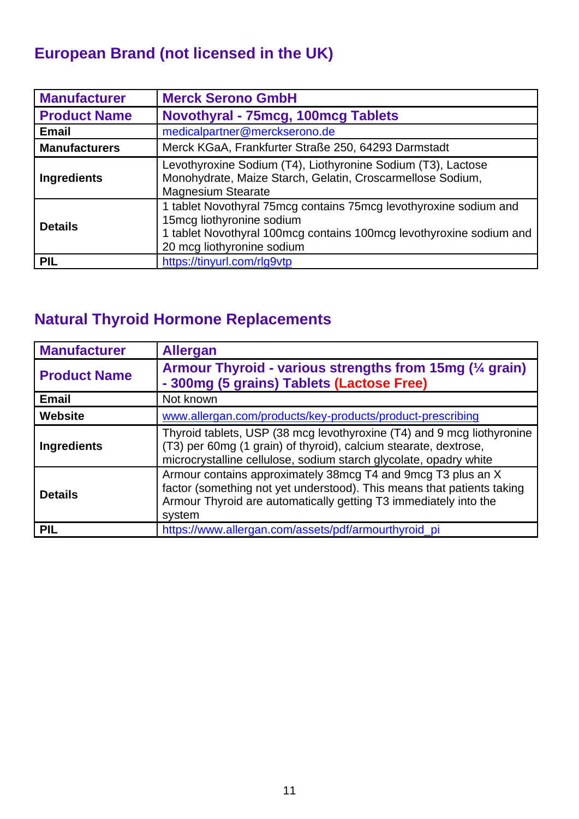### **European Brand (not licensed in the UK)**

| <b>Manufacturer</b>  | <b>Merck Serono GmbH</b>                                                                                                                                                                            |
|----------------------|-----------------------------------------------------------------------------------------------------------------------------------------------------------------------------------------------------|
| <b>Product Name</b>  | Novothyral - 75mcg, 100mcg Tablets                                                                                                                                                                  |
| <b>Email</b>         | medicalpartner@merckserono.de                                                                                                                                                                       |
| <b>Manufacturers</b> | Merck KGaA, Frankfurter Straße 250, 64293 Darmstadt                                                                                                                                                 |
| <b>Ingredients</b>   | Levothyroxine Sodium (T4), Liothyronine Sodium (T3), Lactose<br>Monohydrate, Maize Starch, Gelatin, Croscarmellose Sodium,<br><b>Magnesium Stearate</b>                                             |
| <b>Details</b>       | 1 tablet Novothyral 75mcg contains 75mcg levothyroxine sodium and<br>15mcg liothyronine sodium<br>1 tablet Novothyral 100mcg contains 100mcg levothyroxine sodium and<br>20 mcg liothyronine sodium |
| <b>PIL</b>           | https://tinyurl.com/rlg9vtp                                                                                                                                                                         |

### **Natural Thyroid Hormone Replacements**

| <b>Manufacturer</b> | <b>Allergan</b>                                                                                                                                                                                                      |
|---------------------|----------------------------------------------------------------------------------------------------------------------------------------------------------------------------------------------------------------------|
| <b>Product Name</b> | Armour Thyroid - various strengths from 15mg (1/4 grain)<br>- 300mg (5 grains) Tablets (Lactose Free)                                                                                                                |
| <b>Email</b>        | Not known                                                                                                                                                                                                            |
| <b>Website</b>      | www.allergan.com/products/key-products/product-prescribing                                                                                                                                                           |
| <b>Ingredients</b>  | Thyroid tablets, USP (38 mcg levothyroxine (T4) and 9 mcg liothyronine<br>(T3) per 60mg (1 grain) of thyroid), calcium stearate, dextrose,<br>microcrystalline cellulose, sodium starch glycolate, opadry white      |
| <b>Details</b>      | Armour contains approximately 38mcg T4 and 9mcg T3 plus an X<br>factor (something not yet understood). This means that patients taking<br>Armour Thyroid are automatically getting T3 immediately into the<br>system |
| <b>PIL</b>          | https://www.allergan.com/assets/pdf/armourthyroid_pi                                                                                                                                                                 |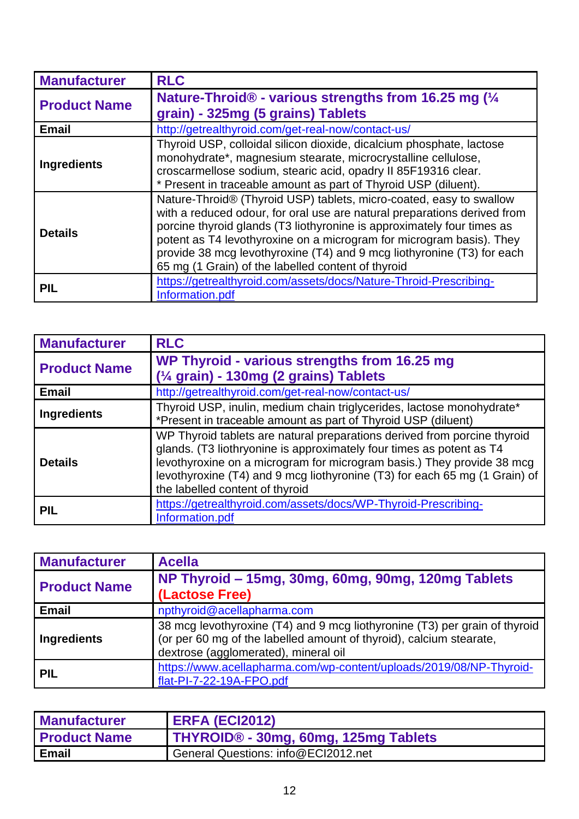| <b>Manufacturer</b> | <b>RLC</b>                                                                                                                                                                                                                                                                                                                                                                                                                        |
|---------------------|-----------------------------------------------------------------------------------------------------------------------------------------------------------------------------------------------------------------------------------------------------------------------------------------------------------------------------------------------------------------------------------------------------------------------------------|
| <b>Product Name</b> | Nature-Throid® - various strengths from 16.25 mg (1/4<br>grain) - 325mg (5 grains) Tablets                                                                                                                                                                                                                                                                                                                                        |
| <b>Email</b>        | http://getrealthyroid.com/get-real-now/contact-us/                                                                                                                                                                                                                                                                                                                                                                                |
| <b>Ingredients</b>  | Thyroid USP, colloidal silicon dioxide, dicalcium phosphate, lactose<br>monohydrate*, magnesium stearate, microcrystalline cellulose,<br>croscarmellose sodium, stearic acid, opadry II 85F19316 clear.<br>* Present in traceable amount as part of Thyroid USP (diluent).                                                                                                                                                        |
| <b>Details</b>      | Nature-Throid® (Thyroid USP) tablets, micro-coated, easy to swallow<br>with a reduced odour, for oral use are natural preparations derived from<br>porcine thyroid glands (T3 liothyronine is approximately four times as<br>potent as T4 levothyroxine on a microgram for microgram basis). They<br>provide 38 mcg levothyroxine (T4) and 9 mcg liothyronine (T3) for each<br>65 mg (1 Grain) of the labelled content of thyroid |
| PIL                 | https://getrealthyroid.com/assets/docs/Nature-Throid-Prescribing-<br>Information.pdf                                                                                                                                                                                                                                                                                                                                              |

| <b>Manufacturer</b> | <b>RLC</b>                                                                                                                                                                                                                                                                                                                                  |
|---------------------|---------------------------------------------------------------------------------------------------------------------------------------------------------------------------------------------------------------------------------------------------------------------------------------------------------------------------------------------|
| <b>Product Name</b> | WP Thyroid - various strengths from 16.25 mg<br>$\frac{1}{4}$ grain) - 130mg (2 grains) Tablets                                                                                                                                                                                                                                             |
| <b>Email</b>        | http://getrealthyroid.com/get-real-now/contact-us/                                                                                                                                                                                                                                                                                          |
| <b>Ingredients</b>  | Thyroid USP, inulin, medium chain triglycerides, lactose monohydrate*<br>*Present in traceable amount as part of Thyroid USP (diluent)                                                                                                                                                                                                      |
| <b>Details</b>      | WP Thyroid tablets are natural preparations derived from porcine thyroid<br>glands. (T3 liothryonine is approximately four times as potent as T4<br>levothyroxine on a microgram for microgram basis.) They provide 38 mcg<br>levothyroxine (T4) and 9 mcg liothyronine (T3) for each 65 mg (1 Grain) of<br>the labelled content of thyroid |
| <b>PIL</b>          | https://getrealthyroid.com/assets/docs/WP-Thyroid-Prescribing-<br>Information.pdf                                                                                                                                                                                                                                                           |

| <b>Manufacturer</b> | <b>Acella</b>                                                                                                                                                                             |
|---------------------|-------------------------------------------------------------------------------------------------------------------------------------------------------------------------------------------|
| <b>Product Name</b> | NP Thyroid - 15mg, 30mg, 60mg, 90mg, 120mg Tablets<br>(Lactose Free)                                                                                                                      |
| <b>Email</b>        | npthyroid@acellapharma.com                                                                                                                                                                |
| Ingredients         | 38 mcg levothyroxine (T4) and 9 mcg liothyronine (T3) per grain of thyroid<br>(or per 60 mg of the labelled amount of thyroid), calcium stearate,<br>dextrose (agglomerated), mineral oil |
| <b>PIL</b>          | https://www.acellapharma.com/wp-content/uploads/2019/08/NP-Thyroid-<br>flat-PI-7-22-19A-FPO.pdf                                                                                           |

| <b>Manufacturer</b> | <b>ERFA (ECI2012)</b>                |
|---------------------|--------------------------------------|
| <b>Product Name</b> | THYROID® - 30mg, 60mg, 125mg Tablets |
| Email               | General Questions: info@ECI2012.net  |